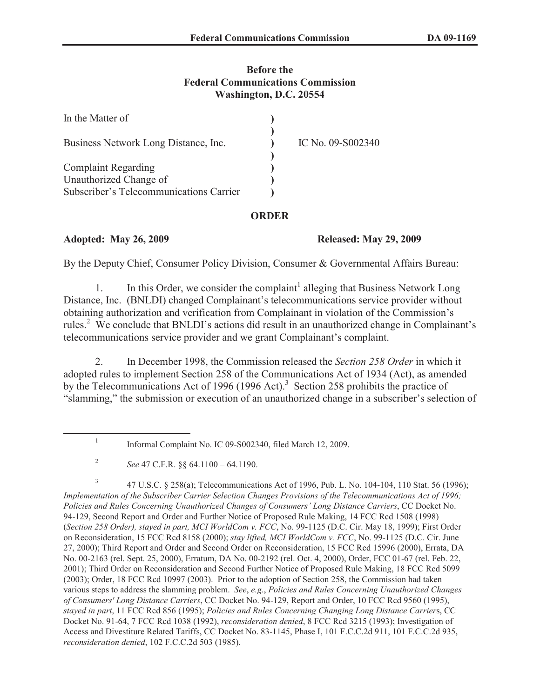## **Before the Federal Communications Commission Washington, D.C. 20554**

| In the Matter of                        |                   |
|-----------------------------------------|-------------------|
| Business Network Long Distance, Inc.    | IC No. 09-S002340 |
| <b>Complaint Regarding</b>              |                   |
| Unauthorized Change of                  |                   |
| Subscriber's Telecommunications Carrier |                   |

## **ORDER**

## **Adopted: May 26, 2009 Released: May 29, 2009**

By the Deputy Chief, Consumer Policy Division, Consumer & Governmental Affairs Bureau:

1. In this Order, we consider the complaint<sup>1</sup> alleging that Business Network Long Distance, Inc. (BNLDI) changed Complainant's telecommunications service provider without obtaining authorization and verification from Complainant in violation of the Commission's rules.<sup>2</sup> We conclude that BNLDI's actions did result in an unauthorized change in Complainant's telecommunications service provider and we grant Complainant's complaint.

2. In December 1998, the Commission released the *Section 258 Order* in which it adopted rules to implement Section 258 of the Communications Act of 1934 (Act), as amended by the Telecommunications Act of 1996 (1996 Act).<sup>3</sup> Section 258 prohibits the practice of "slamming," the submission or execution of an unauthorized change in a subscriber's selection of

3 47 U.S.C. § 258(a); Telecommunications Act of 1996, Pub. L. No. 104-104, 110 Stat. 56 (1996); *Implementation of the Subscriber Carrier Selection Changes Provisions of the Telecommunications Act of 1996; Policies and Rules Concerning Unauthorized Changes of Consumers' Long Distance Carriers*, CC Docket No. 94-129, Second Report and Order and Further Notice of Proposed Rule Making, 14 FCC Rcd 1508 (1998) (*Section 258 Order), stayed in part, MCI WorldCom v. FCC*, No. 99-1125 (D.C. Cir. May 18, 1999); First Order on Reconsideration, 15 FCC Rcd 8158 (2000); *stay lifted, MCI WorldCom v. FCC*, No. 99-1125 (D.C. Cir. June 27, 2000); Third Report and Order and Second Order on Reconsideration, 15 FCC Rcd 15996 (2000), Errata, DA No. 00-2163 (rel. Sept. 25, 2000), Erratum, DA No. 00-2192 (rel. Oct. 4, 2000), Order, FCC 01-67 (rel. Feb. 22, 2001); Third Order on Reconsideration and Second Further Notice of Proposed Rule Making, 18 FCC Rcd 5099 (2003); Order, 18 FCC Rcd 10997 (2003). Prior to the adoption of Section 258, the Commission had taken various steps to address the slamming problem. *See*, *e.g.*, *Policies and Rules Concerning Unauthorized Changes of Consumers' Long Distance Carriers*, CC Docket No. 94-129, Report and Order, 10 FCC Rcd 9560 (1995), *stayed in part*, 11 FCC Rcd 856 (1995); *Policies and Rules Concerning Changing Long Distance Carrier*s, CC Docket No. 91-64, 7 FCC Rcd 1038 (1992), *reconsideration denied*, 8 FCC Rcd 3215 (1993); Investigation of Access and Divestiture Related Tariffs, CC Docket No. 83-1145, Phase I, 101 F.C.C.2d 911, 101 F.C.C.2d 935, *reconsideration denied*, 102 F.C.C.2d 503 (1985).

<sup>1</sup> Informal Complaint No. IC 09-S002340, filed March 12, 2009.

<sup>2</sup> *See* 47 C.F.R. §§ 64.1100 – 64.1190.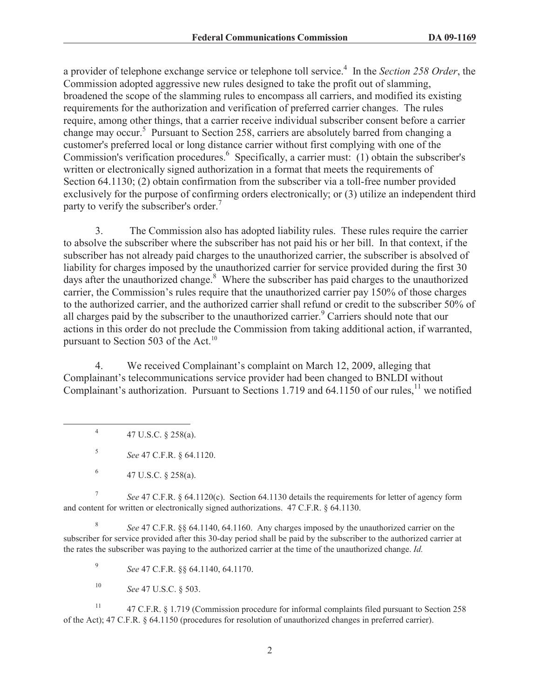a provider of telephone exchange service or telephone toll service.<sup>4</sup> In the *Section 258 Order*, the Commission adopted aggressive new rules designed to take the profit out of slamming, broadened the scope of the slamming rules to encompass all carriers, and modified its existing requirements for the authorization and verification of preferred carrier changes. The rules require, among other things, that a carrier receive individual subscriber consent before a carrier change may occur.<sup>5</sup> Pursuant to Section 258, carriers are absolutely barred from changing a customer's preferred local or long distance carrier without first complying with one of the Commission's verification procedures.<sup>6</sup> Specifically, a carrier must: (1) obtain the subscriber's written or electronically signed authorization in a format that meets the requirements of Section 64.1130; (2) obtain confirmation from the subscriber via a toll-free number provided exclusively for the purpose of confirming orders electronically; or (3) utilize an independent third party to verify the subscriber's order.<sup>7</sup>

3. The Commission also has adopted liability rules. These rules require the carrier to absolve the subscriber where the subscriber has not paid his or her bill. In that context, if the subscriber has not already paid charges to the unauthorized carrier, the subscriber is absolved of liability for charges imposed by the unauthorized carrier for service provided during the first 30 days after the unauthorized change.<sup>8</sup> Where the subscriber has paid charges to the unauthorized carrier, the Commission's rules require that the unauthorized carrier pay 150% of those charges to the authorized carrier, and the authorized carrier shall refund or credit to the subscriber 50% of all charges paid by the subscriber to the unauthorized carrier.<sup>9</sup> Carriers should note that our actions in this order do not preclude the Commission from taking additional action, if warranted, pursuant to Section 503 of the Act.<sup>10</sup>

4. We received Complainant's complaint on March 12, 2009, alleging that Complainant's telecommunications service provider had been changed to BNLDI without Complainant's authorization. Pursuant to Sections 1.719 and 64.1150 of our rules,<sup>11</sup> we notified

4 47 U.S.C. § 258(a).

5 *See* 47 C.F.R. § 64.1120.

7 *See* 47 C.F.R. § 64.1120(c). Section 64.1130 details the requirements for letter of agency form and content for written or electronically signed authorizations. 47 C.F.R. § 64.1130.

8 *See* 47 C.F.R. §§ 64.1140, 64.1160. Any charges imposed by the unauthorized carrier on the subscriber for service provided after this 30-day period shall be paid by the subscriber to the authorized carrier at the rates the subscriber was paying to the authorized carrier at the time of the unauthorized change. *Id.*

9 *See* 47 C.F.R. §§ 64.1140, 64.1170.

<sup>10</sup> *See* 47 U.S.C. § 503.

<sup>11</sup> 47 C.F.R. § 1.719 (Commission procedure for informal complaints filed pursuant to Section 258 of the Act); 47 C.F.R. § 64.1150 (procedures for resolution of unauthorized changes in preferred carrier).

<sup>6</sup> 47 U.S.C. § 258(a).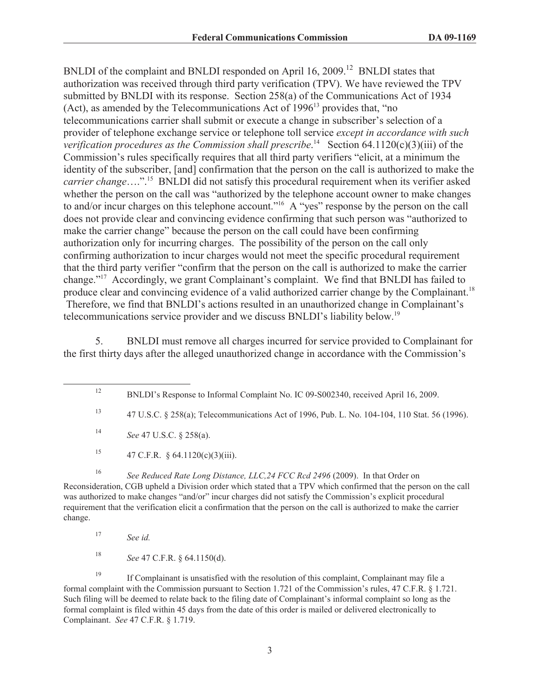BNLDI of the complaint and BNLDI responded on April 16, 2009.<sup>12</sup> BNLDI states that authorization was received through third party verification (TPV). We have reviewed the TPV submitted by BNLDI with its response. Section 258(a) of the Communications Act of 1934 (Act), as amended by the Telecommunications Act of  $1996<sup>13</sup>$  provides that, "no telecommunications carrier shall submit or execute a change in subscriber's selection of a provider of telephone exchange service or telephone toll service *except in accordance with such*  verification procedures as the Commission shall prescribe.<sup>14</sup> Section 64.1120(c)(3)(iii) of the Commission's rules specifically requires that all third party verifiers "elicit, at a minimum the identity of the subscriber, [and] confirmation that the person on the call is authorized to make the *carrier change*….".<sup>15</sup> BNLDI did not satisfy this procedural requirement when its verifier asked whether the person on the call was "authorized by the telephone account owner to make changes to and/or incur charges on this telephone account."<sup>16</sup> A "yes" response by the person on the call does not provide clear and convincing evidence confirming that such person was "authorized to make the carrier change" because the person on the call could have been confirming authorization only for incurring charges. The possibility of the person on the call only confirming authorization to incur charges would not meet the specific procedural requirement that the third party verifier "confirm that the person on the call is authorized to make the carrier change."<sup>17</sup> Accordingly, we grant Complainant's complaint. We find that BNLDI has failed to produce clear and convincing evidence of a valid authorized carrier change by the Complainant.<sup>18</sup> Therefore, we find that BNLDI's actions resulted in an unauthorized change in Complainant's telecommunications service provider and we discuss BNLDI's liability below.<sup>19</sup>

5. BNLDI must remove all charges incurred for service provided to Complainant for the first thirty days after the alleged unauthorized change in accordance with the Commission's

<sup>15</sup> 47 C.F.R. § 64.1120(c)(3)(iii).

<sup>16</sup> See Reduced Rate Long Distance, LLC, 24 FCC Rcd 2496 (2009). In that Order on Reconsideration, CGB upheld a Division order which stated that a TPV which confirmed that the person on the call was authorized to make changes "and/or" incur charges did not satisfy the Commission's explicit procedural requirement that the verification elicit a confirmation that the person on the call is authorized to make the carrier change.

<sup>18</sup> *See* 47 C.F.R. § 64.1150(d).

<sup>19</sup> If Complainant is unsatisfied with the resolution of this complaint, Complainant may file a formal complaint with the Commission pursuant to Section 1.721 of the Commission's rules, 47 C.F.R. § 1.721. Such filing will be deemed to relate back to the filing date of Complainant's informal complaint so long as the formal complaint is filed within 45 days from the date of this order is mailed or delivered electronically to Complainant. *See* 47 C.F.R. § 1.719.

<sup>&</sup>lt;sup>12</sup> BNLDI's Response to Informal Complaint No. IC 09-S002340, received April 16, 2009.

<sup>13</sup> 47 U.S.C. § 258(a); Telecommunications Act of 1996, Pub. L. No. 104-104, 110 Stat. 56 (1996).

<sup>14</sup> *See* 47 U.S.C. § 258(a).

<sup>17</sup> *See id.*